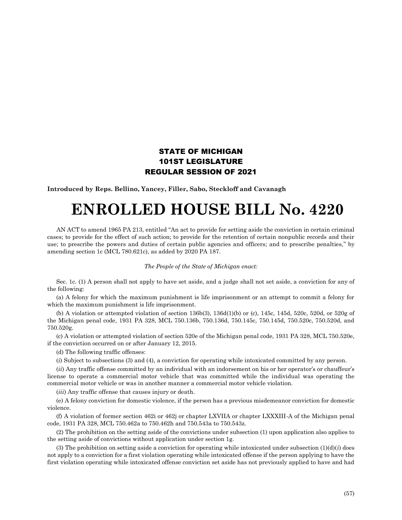## STATE OF MICHIGAN 101ST LEGISLATURE REGULAR SESSION OF 2021

**Introduced by Reps. Bellino, Yancey, Filler, Sabo, Steckloff and Cavanagh**

## **ENROLLED HOUSE BILL No. 4220**

AN ACT to amend 1965 PA 213, entitled "An act to provide for setting aside the conviction in certain criminal cases; to provide for the effect of such action; to provide for the retention of certain nonpublic records and their use; to prescribe the powers and duties of certain public agencies and officers; and to prescribe penalties," by amending section 1c (MCL 780.621c), as added by 2020 PA 187.

## *The People of the State of Michigan enact:*

Sec. 1c. (1) A person shall not apply to have set aside, and a judge shall not set aside, a conviction for any of the following:

(a) A felony for which the maximum punishment is life imprisonment or an attempt to commit a felony for which the maximum punishment is life imprisonment.

(b) A violation or attempted violation of section 136b(3), 136d(1)(b) or (c), 145c, 145d, 520c, 520d, or 520g of the Michigan penal code, 1931 PA 328, MCL 750.136b, 750.136d, 750.145c, 750.145d, 750.520c, 750.520d, and 750.520g.

(c) A violation or attempted violation of section 520e of the Michigan penal code, 1931 PA 328, MCL 750.520e, if the conviction occurred on or after January 12, 2015.

(d) The following traffic offenses:

(*i*) Subject to subsections (3) and (4), a conviction for operating while intoxicated committed by any person.

(*ii*) Any traffic offense committed by an individual with an indorsement on his or her operator's or chauffeur's license to operate a commercial motor vehicle that was committed while the individual was operating the commercial motor vehicle or was in another manner a commercial motor vehicle violation.

(*iii*) Any traffic offense that causes injury or death.

(e) A felony conviction for domestic violence, if the person has a previous misdemeanor conviction for domestic violence.

(f) A violation of former section 462i or 462j or chapter LXVIIA or chapter LXXXIII-A of the Michigan penal code, 1931 PA 328, MCL 750.462a to 750.462h and 750.543a to 750.543z.

(2) The prohibition on the setting aside of the convictions under subsection (1) upon application also applies to the setting aside of convictions without application under section 1g.

(3) The prohibition on setting aside a conviction for operating while intoxicated under subsection  $(1)(d)(i)$  does not apply to a conviction for a first violation operating while intoxicated offense if the person applying to have the first violation operating while intoxicated offense conviction set aside has not previously applied to have and had